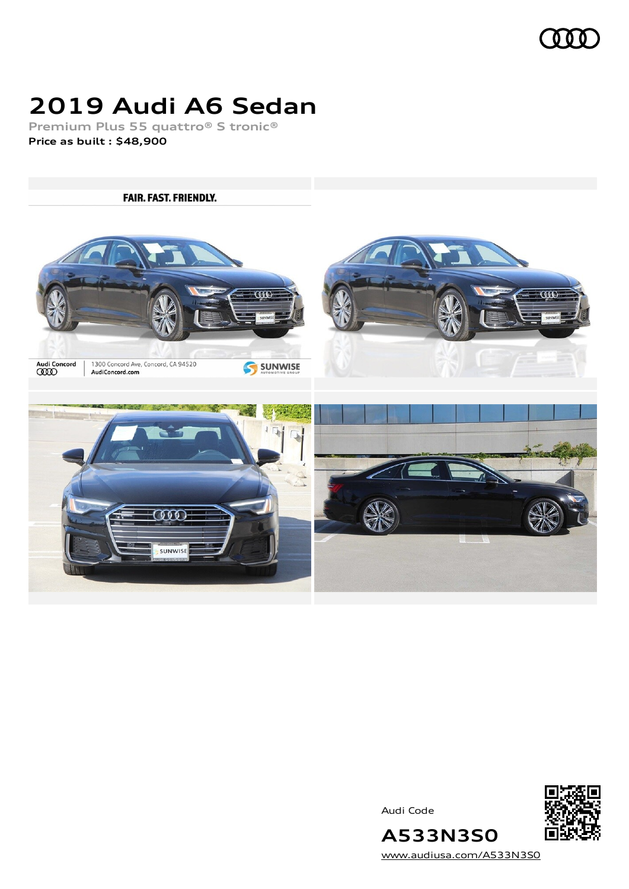

# **2019 Audi A6 Sedan**

**Premium Plus 55 quattro® S tronic® Price as built [:](#page-8-0) \$48,900**

**FAIR. FAST. FRIENDLY. CODE** Audi Concord<br>**CCCO** 1300 Concord Ave, Concord, CA 94520<br>AudiConcord.com SUNWISE  $000$ SUNWISE

Audi Code



**A533N3S0** [www.audiusa.com/A533N3S0](https://www.audiusa.com/A533N3S0)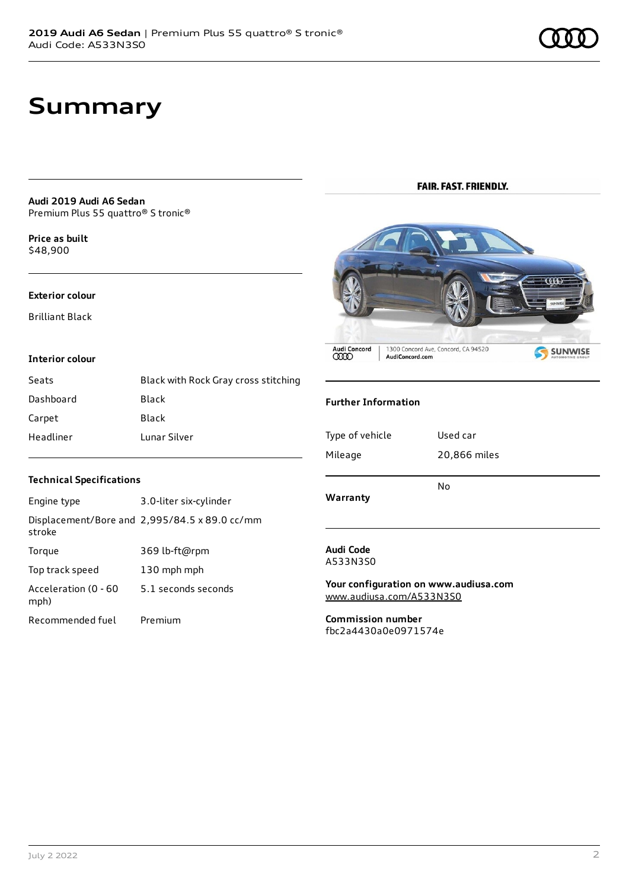# **Summary**

**Audi 2019 Audi A6 Sedan** Premium Plus 55 quattro® S tronic®

**Price as buil[t](#page-8-0)** \$48,900

#### **Exterior colour**

Brilliant Black

#### **Interior colour**

| Seats     | Black with Rock Gray cross stitching |
|-----------|--------------------------------------|
| Dashboard | Black                                |
| Carpet    | Black                                |
| Headliner | Lunar Silver                         |

### **FAIR. FAST. FRIENDLY.**



### **Further Information**

| Warranty        | No           |
|-----------------|--------------|
| Mileage         | 20,866 miles |
| Type of vehicle | Used car     |

### **Technical Specifications**

| Engine type                  | 3.0-liter six-cylinder                        |
|------------------------------|-----------------------------------------------|
| stroke                       | Displacement/Bore and 2,995/84.5 x 89.0 cc/mm |
| Torque                       | 369 lb-ft@rpm                                 |
| Top track speed              | 130 mph mph                                   |
| Acceleration (0 - 60<br>mph) | 5.1 seconds seconds                           |
| Recommended fuel             | Premium                                       |

#### **Audi Code** A533N3S0

**Your configuration on www.audiusa.com** [www.audiusa.com/A533N3S0](https://www.audiusa.com/A533N3S0)

**Commission number** fbc2a4430a0e0971574e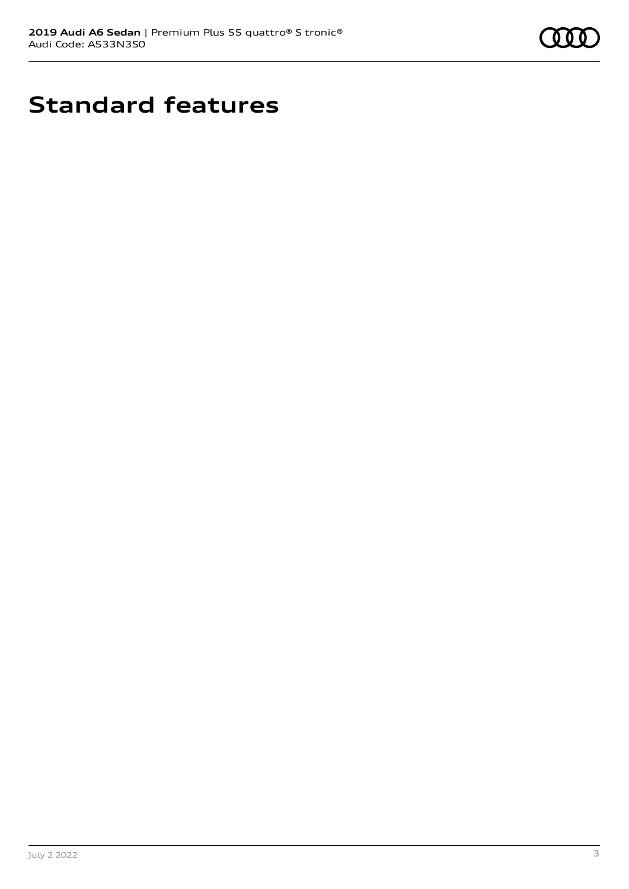

# **Standard features**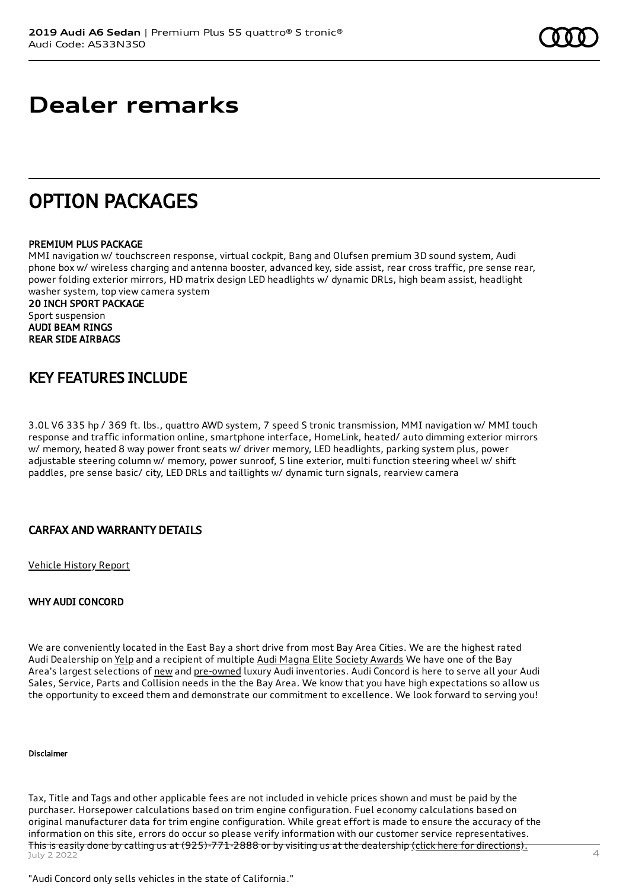# **Dealer remarks**

## OPTION PACKAGES

### PREMIUM PLUS PACKAGE

MMI navigation w/ touchscreen response, virtual cockpit, Bang and Olufsen premium 3D sound system, Audi phone box w/ wireless charging and antenna booster, advanced key, side assist, rear cross traffic, pre sense rear, power folding exterior mirrors, HD matrix design LED headlights w/ dynamic DRLs, high beam assist, headlight washer system, top view camera system

20 INCH SPORT PACKAGE Sport suspension AUDI BEAM RINGS REAR SIDE AIRBAGS

### KEY FEATURES INCLUDE

3.0L V6 335 hp / 369 ft. lbs., quattro AWD system, 7 speed S tronic transmission, MMI navigation w/ MMI touch response and traffic information online, smartphone interface, HomeLink, heated/ auto dimming exterior mirrors w/ memory, heated 8 way power front seats w/ driver memory, LED headlights, parking system plus, power adjustable steering column w/ memory, power sunroof, S line exterior, multi function steering wheel w/ shift paddles, pre sense basic/ city, LED DRLs and taillights w/ dynamic turn signals, rearview camera

### CARFAX AND WARRANTY DETAILS

[Vehicle](https://www.carfax.com/VehicleHistory/p/Report.cfx?partner=DLR_3&vin=WAUL2BF28KN055438) History Report

### WHY AUDI CONCORD

We are conveniently located in the East Bay a short drive from most Bay Area Cities. We are the highest rated Audi Dealership on [Yelp](https://www.yelp.com/biz/audi-concord-concord) and a recipient of multiple Audi Magna Elite Society [Awards](https://www.audiconcord.com/magna-society-award.htm) We have one of the Bay Area's largest selections of [new](https://www.audiconcord.com/new-inventory/index.htm) and [pre-owned](https://www.audiconcord.com/used-inventory/index.htm) luxury Audi inventories. Audi Concord is here to serve all your Audi Sales, Service, Parts and Collision needs in the the Bay Area. We know that you have high expectations so allow us the opportunity to exceed them and demonstrate our commitment to excellence. We look forward to serving you!

#### Disclaimer

Tax, Title and Tags and other applicable fees are not included in vehicle prices shown and must be paid by the purchaser. Horsepower calculations based on trim engine configuration. Fuel economy calculations based on original manufacturer data for trim engine configuration. While great effort is made to ensure the accuracy of the information on this site, errors do occur so please verify information with our customer service representatives. This is easily done by calling us at (925)-771-2888 or by visiting us at the dealership <u>(click here for [directions\).](https://www.audiconcord.com/dealership/directions.htm)</u><br>July 2 2022

"Audi Concord only sells vehicles in the state of California."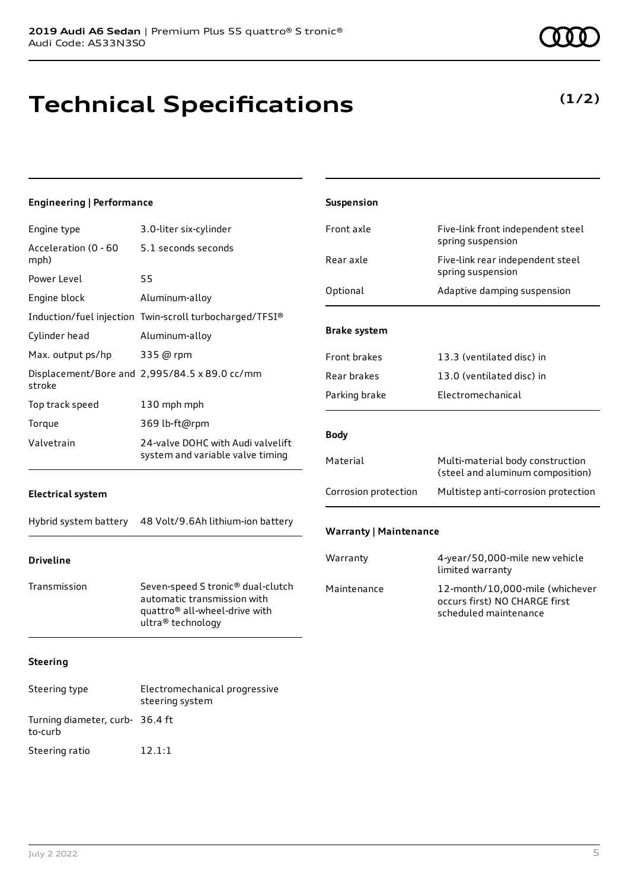# **Technical Specifications**

### **(1/2)**

| <b>Engineering   Performance</b> |                                                                                                                                    | Suspension                    |                                                                                           |
|----------------------------------|------------------------------------------------------------------------------------------------------------------------------------|-------------------------------|-------------------------------------------------------------------------------------------|
| Engine type                      | 3.0-liter six-cylinder                                                                                                             | Front axle                    | Five-link front independent steel                                                         |
| Acceleration (0 - 60<br>mph)     | 5.1 seconds seconds                                                                                                                | Rear axle                     | spring suspension<br>Five-link rear independent steel                                     |
| Power Level<br>Engine block      | 55<br>Aluminum-alloy                                                                                                               | Optional                      | spring suspension<br>Adaptive damping suspension                                          |
| Cylinder head                    | Induction/fuel injection Twin-scroll turbocharged/TFSI®<br>Aluminum-alloy                                                          | <b>Brake system</b>           |                                                                                           |
| Max. output ps/hp                | 335 @ rpm<br>Displacement/Bore and 2,995/84.5 x 89.0 cc/mm                                                                         | Front brakes<br>Rear brakes   | 13.3 (ventilated disc) in<br>13.0 (ventilated disc) in                                    |
| stroke<br>Top track speed        | 130 mph mph                                                                                                                        | Parking brake                 | Electromechanical                                                                         |
| Torque<br>Valvetrain             | 369 lb-ft@rpm<br>24-valve DOHC with Audi valvelift<br>system and variable valve timing                                             | <b>Body</b>                   |                                                                                           |
|                                  |                                                                                                                                    | Material                      | Multi-material body construction<br>(steel and aluminum composition)                      |
| <b>Electrical system</b>         |                                                                                                                                    | Corrosion protection          | Multistep anti-corrosion protection                                                       |
| Hybrid system battery            | 48 Volt/9.6Ah lithium-ion battery                                                                                                  | <b>Warranty   Maintenance</b> |                                                                                           |
| <b>Driveline</b>                 |                                                                                                                                    | Warranty                      | 4-year/50,000-mile new vehicle<br>limited warranty                                        |
| Transmission                     | Seven-speed S tronic® dual-clutch<br>automatic transmission with<br>quattro <sup>®</sup> all-wheel-drive with<br>ultra® technology | Maintenance                   | 12-month/10,000-mile (whichever<br>occurs first) NO CHARGE first<br>scheduled maintenance |
| <b>Steering</b>                  |                                                                                                                                    |                               |                                                                                           |
| Steering type                    | Electromechanical progressive<br>steering system                                                                                   |                               |                                                                                           |

Turning diameter, curb-36.4 ft

to-curb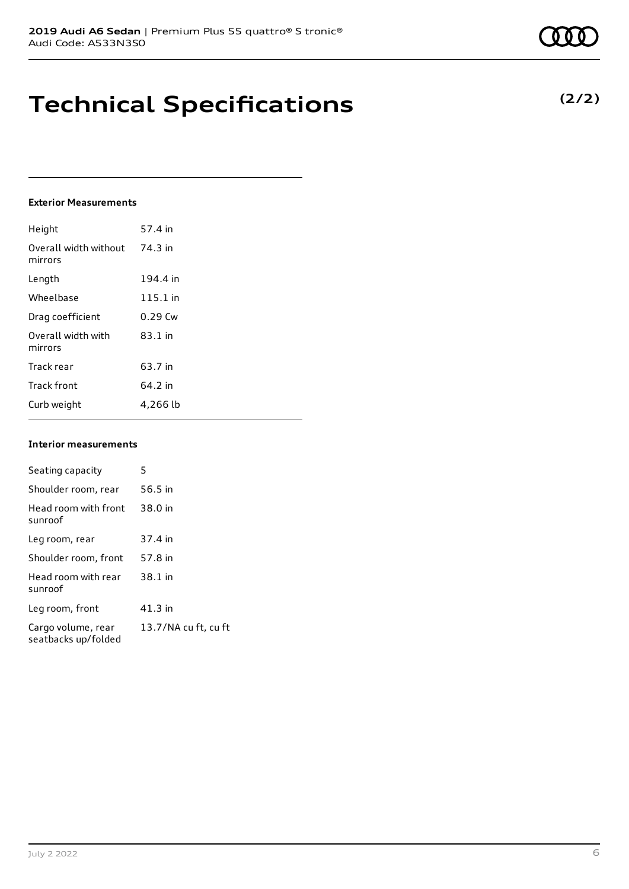# **Technical Specifications**

### **Exterior Measurements**

| Height                           | 57.4 in   |
|----------------------------------|-----------|
| Overall width without<br>mirrors | 74.3 in   |
| Length                           | 194.4 in  |
| Wheelbase                        | 115.1 in  |
| Drag coefficient                 | $0.29$ Cw |
| Overall width with<br>mirrors    | $83.1$ in |
| Track rear                       | 63.7 in   |
| <b>Track front</b>               | 64.2 in   |
| Curb weight                      | 4,266 lb  |

### **Interior measurements**

| Seating capacity                          | 5                    |
|-------------------------------------------|----------------------|
| Shoulder room, rear                       | 56.5 in              |
| Head room with front<br>sunroof           | 38.0 in              |
| Leg room, rear                            | 37.4 in              |
| Shoulder room, front                      | 57.8 in              |
| Head room with rear<br>sunroof            | 38.1 in              |
| Leg room, front                           | 41.3 in              |
| Cargo volume, rear<br>seatbacks up/folded | 13.7/NA cu ft, cu ft |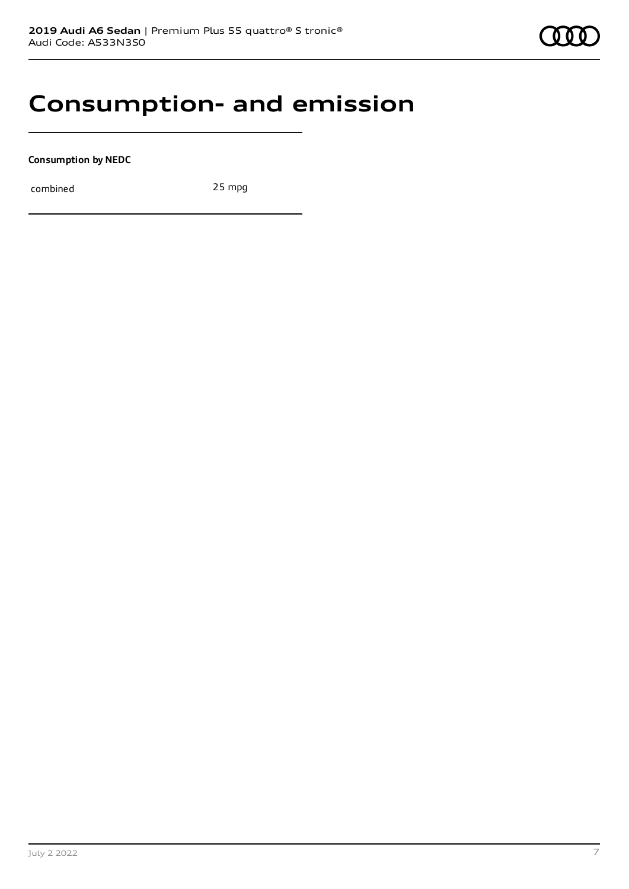## **Consumption- and emission**

**Consumption by NEDC**

combined 25 mpg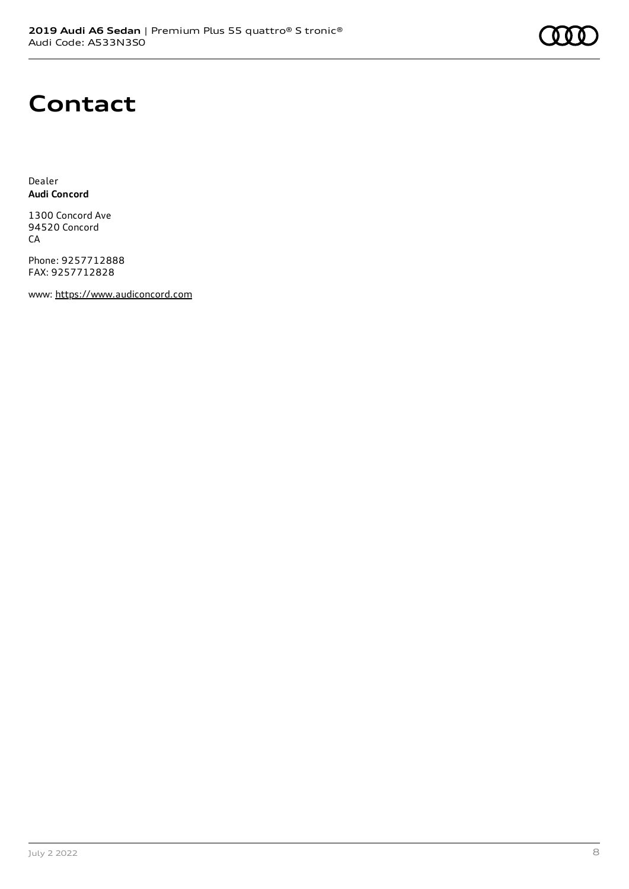# **Contact**

Dealer **Audi Concord**

1300 Concord Ave 94520 Concord CA

Phone: 9257712888 FAX: 9257712828

www: [https://www.audiconcord.com](https://www.audiconcord.com/)